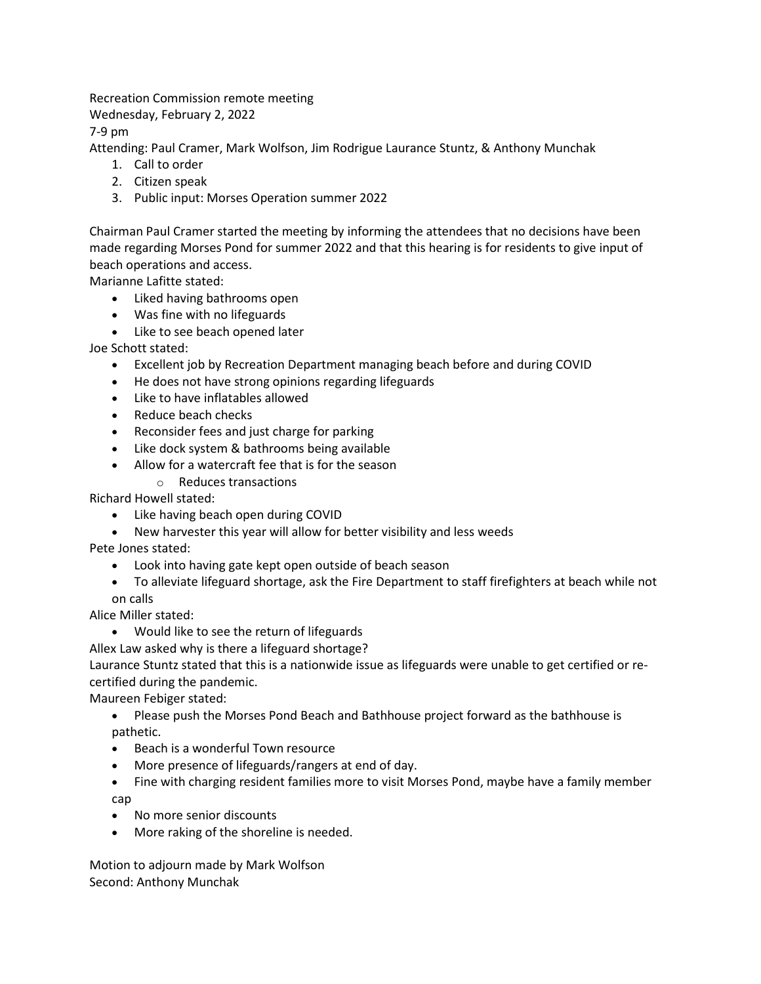Recreation Commission remote meeting

Wednesday, February 2, 2022

7-9 pm

Attending: Paul Cramer, Mark Wolfson, Jim Rodrigue Laurance Stuntz, & Anthony Munchak

- 1. Call to order
- 2. Citizen speak
- 3. Public input: Morses Operation summer 2022

Chairman Paul Cramer started the meeting by informing the attendees that no decisions have been made regarding Morses Pond for summer 2022 and that this hearing is for residents to give input of beach operations and access.

Marianne Lafitte stated:

- Liked having bathrooms open
- Was fine with no lifeguards
- Like to see beach opened later

Joe Schott stated:

- Excellent job by Recreation Department managing beach before and during COVID
- He does not have strong opinions regarding lifeguards
- Like to have inflatables allowed
- Reduce beach checks
- Reconsider fees and just charge for parking
- Like dock system & bathrooms being available
- Allow for a watercraft fee that is for the season
	- o Reduces transactions

Richard Howell stated:

- Like having beach open during COVID
- New harvester this year will allow for better visibility and less weeds

Pete Jones stated:

- Look into having gate kept open outside of beach season
- To alleviate lifeguard shortage, ask the Fire Department to staff firefighters at beach while not on calls

Alice Miller stated:

• Would like to see the return of lifeguards

Allex Law asked why is there a lifeguard shortage?

Laurance Stuntz stated that this is a nationwide issue as lifeguards were unable to get certified or recertified during the pandemic.

Maureen Febiger stated:

- Please push the Morses Pond Beach and Bathhouse project forward as the bathhouse is pathetic.
- Beach is a wonderful Town resource
- More presence of lifeguards/rangers at end of day.
- Fine with charging resident families more to visit Morses Pond, maybe have a family member cap
- No more senior discounts
- More raking of the shoreline is needed.

Motion to adjourn made by Mark Wolfson Second: Anthony Munchak